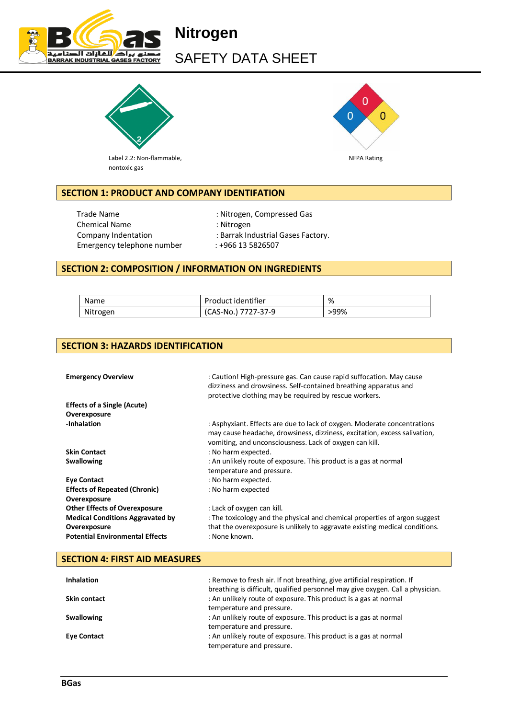

# **Nitrogen** SAFETY DATA SHEET



n  $\Omega$  $\Omega$ 

Label 2.2: Non-flammable, Non-Elementary and the U.S. of the U.S. of the U.S. of the U.S. of the U.S. of the U.S. of the U.S. of the U.S. of the U.S. of the U.S. of the U.S. of the U.S. of the U.S. of the U.S. of the U.S. nontoxic gas

# **SECTION 1: PRODUCT AND COMPANY IDENTIFATION**

Trade Name  $\qquad \qquad$ : Nitrogen, Compressed Gas Chemical Name : Nitrogen Emergency telephone number : +966 13 5826507

- 
- Company Indentation : Barrak Industrial Gases Factory.
	-

## **SECTION 2: COMPOSITION / INFORMATION ON INGREDIENTS**

| Name     | Product identifier  | %    |
|----------|---------------------|------|
| Nitrogen | (CAS-No.) 7727-37-9 | >99% |

### **SECTION 3: HAZARDS IDENTIFICATION**

| <b>Emergency Overview</b>               | : Caution! High-pressure gas. Can cause rapid suffocation. May cause<br>dizziness and drowsiness. Self-contained breathing apparatus and<br>protective clothing may be required by rescue workers.               |
|-----------------------------------------|------------------------------------------------------------------------------------------------------------------------------------------------------------------------------------------------------------------|
| <b>Effects of a Single (Acute)</b>      |                                                                                                                                                                                                                  |
| Overexposure                            |                                                                                                                                                                                                                  |
| -Inhalation                             | : Asphyxiant. Effects are due to lack of oxygen. Moderate concentrations<br>may cause headache, drowsiness, dizziness, excitation, excess salivation,<br>vomiting, and unconsciousness. Lack of oxygen can kill. |
| <b>Skin Contact</b>                     | : No harm expected.                                                                                                                                                                                              |
| <b>Swallowing</b>                       | : An unlikely route of exposure. This product is a gas at normal                                                                                                                                                 |
|                                         | temperature and pressure.                                                                                                                                                                                        |
| <b>Eye Contact</b>                      | : No harm expected.                                                                                                                                                                                              |
| <b>Effects of Repeated (Chronic)</b>    | : No harm expected                                                                                                                                                                                               |
| Overexposure                            |                                                                                                                                                                                                                  |
| <b>Other Effects of Overexposure</b>    | : Lack of oxygen can kill.                                                                                                                                                                                       |
| <b>Medical Conditions Aggravated by</b> | : The toxicology and the physical and chemical properties of argon suggest                                                                                                                                       |
| Overexposure                            | that the overexposure is unlikely to aggravate existing medical conditions.                                                                                                                                      |
| <b>Potential Environmental Effects</b>  | : None known.                                                                                                                                                                                                    |

### **SECTION 4: FIRST AID MEASURES**

| <b>Inhalation</b>   | : Remove to fresh air. If not breathing, give artificial respiration. If<br>breathing is difficult, qualified personnel may give oxygen. Call a physician. |
|---------------------|------------------------------------------------------------------------------------------------------------------------------------------------------------|
| <b>Skin contact</b> | : An unlikely route of exposure. This product is a gas at normal<br>temperature and pressure.                                                              |
| <b>Swallowing</b>   | : An unlikely route of exposure. This product is a gas at normal<br>temperature and pressure.                                                              |
| <b>Eye Contact</b>  | : An unlikely route of exposure. This product is a gas at normal<br>temperature and pressure.                                                              |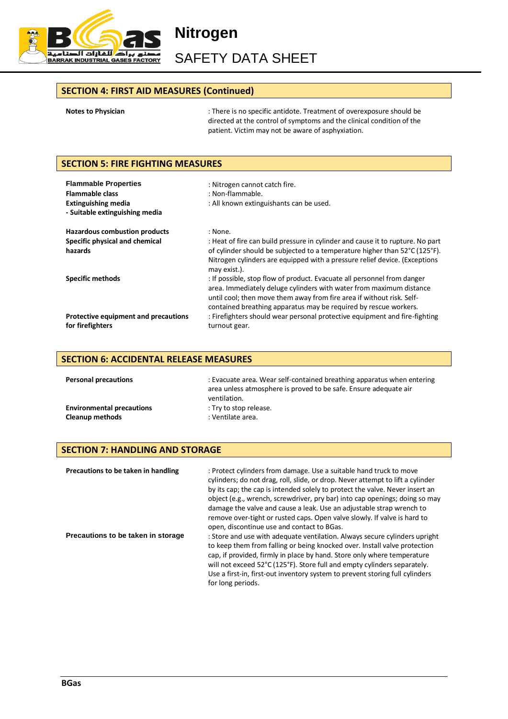

SAFETY DATA SHEET

### **SECTION 4: FIRST AID MEASURES (Continued)**

|  | <b>Notes to Physician</b> |  |
|--|---------------------------|--|
|  |                           |  |

**Notes to Physician** : There is no specific antidote. Treatment of overexposure should be directed at the control of symptoms and the clinical condition of the patient. Victim may not be aware of asphyxiation.

### **SECTION 5: FIRE FIGHTING MEASURES**

| <b>Flammable Properties</b><br><b>Flammable class</b><br><b>Extinguishing media</b><br>- Suitable extinguishing media | : Nitrogen cannot catch fire.<br>: Non-flammable.<br>: All known extinguishants can be used.                                                                                                                                                                                                                                                                              |
|-----------------------------------------------------------------------------------------------------------------------|---------------------------------------------------------------------------------------------------------------------------------------------------------------------------------------------------------------------------------------------------------------------------------------------------------------------------------------------------------------------------|
| <b>Hazardous combustion products</b><br>Specific physical and chemical<br>hazards                                     | : None.<br>: Heat of fire can build pressure in cylinder and cause it to rupture. No part<br>of cylinder should be subjected to a temperature higher than 52°C (125°F).<br>Nitrogen cylinders are equipped with a pressure relief device. (Exceptions<br>may exist.).                                                                                                     |
| <b>Specific methods</b>                                                                                               | : If possible, stop flow of product. Evacuate all personnel from danger<br>area. Immediately deluge cylinders with water from maximum distance<br>until cool; then move them away from fire area if without risk. Self-<br>contained breathing apparatus may be required by rescue workers.<br>: Firefighters should wear personal protective equipment and fire-fighting |
| Protective equipment and precautions<br>for firefighters                                                              | turnout gear.                                                                                                                                                                                                                                                                                                                                                             |

### **SECTION 6: ACCIDENTAL RELEASE MEASURES**

| <b>Personal precautions</b>      | : Evacuate area. Wear self-contained breathing apparatus when entering<br>area unless atmosphere is proved to be safe. Ensure adequate air<br>ventilation. |
|----------------------------------|------------------------------------------------------------------------------------------------------------------------------------------------------------|
| <b>Environmental precautions</b> | : Try to stop release.                                                                                                                                     |
| <b>Cleanup methods</b>           | : Ventilate area.                                                                                                                                          |

### **SECTION 7: HANDLING AND STORAGE**

| Precautions to be taken in handling | : Protect cylinders from damage. Use a suitable hand truck to move<br>cylinders; do not drag, roll, slide, or drop. Never attempt to lift a cylinder<br>by its cap; the cap is intended solely to protect the valve. Never insert an<br>object (e.g., wrench, screwdriver, pry bar) into cap openings; doing so may<br>damage the valve and cause a leak. Use an adjustable strap wrench to<br>remove over-tight or rusted caps. Open valve slowly. If valve is hard to<br>open, discontinue use and contact to BGas. |
|-------------------------------------|-----------------------------------------------------------------------------------------------------------------------------------------------------------------------------------------------------------------------------------------------------------------------------------------------------------------------------------------------------------------------------------------------------------------------------------------------------------------------------------------------------------------------|
| Precautions to be taken in storage  | : Store and use with adequate ventilation. Always secure cylinders upright<br>to keep them from falling or being knocked over. Install valve protection<br>cap, if provided, firmly in place by hand. Store only where temperature<br>will not exceed 52°C (125°F). Store full and empty cylinders separately.<br>Use a first-in, first-out inventory system to prevent storing full cylinders<br>for long periods.                                                                                                   |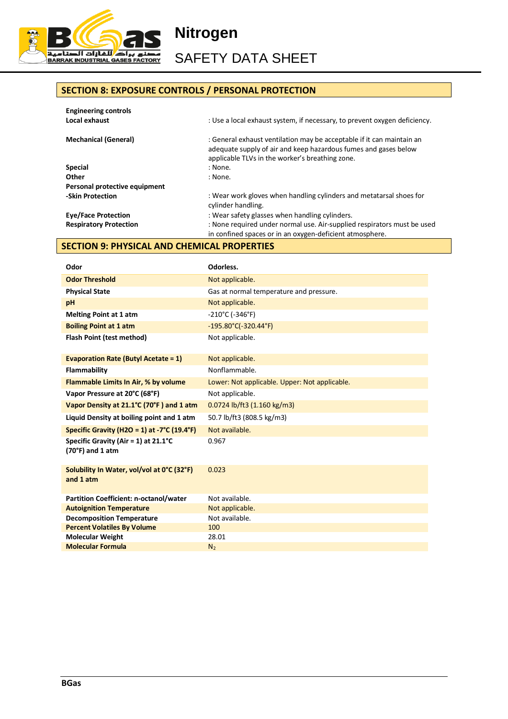

SAFETY DATA SHEET

# **SECTION 8: EXPOSURE CONTROLS / PERSONAL PROTECTION**

| <b>Engineering controls</b>   |                                                                                                                                                                                             |
|-------------------------------|---------------------------------------------------------------------------------------------------------------------------------------------------------------------------------------------|
| Local exhaust                 | : Use a local exhaust system, if necessary, to prevent oxygen deficiency.                                                                                                                   |
| <b>Mechanical (General)</b>   | : General exhaust ventilation may be acceptable if it can maintain an<br>adequate supply of air and keep hazardous fumes and gases below<br>applicable TLVs in the worker's breathing zone. |
| <b>Special</b>                | : None.                                                                                                                                                                                     |
| Other                         | : None.                                                                                                                                                                                     |
| Personal protective equipment |                                                                                                                                                                                             |
| -Skin Protection              | : Wear work gloves when handling cylinders and metatarsal shoes for                                                                                                                         |
|                               | cylinder handling.                                                                                                                                                                          |
| <b>Eye/Face Protection</b>    | : Wear safety glasses when handling cylinders.                                                                                                                                              |
| <b>Respiratory Protection</b> | : None required under normal use. Air-supplied respirators must be used                                                                                                                     |
|                               | in confined spaces or in an oxygen-deficient atmosphere.                                                                                                                                    |

# **SECTION 9: PHYSICAL AND CHEMICAL PROPERTIES**

| Odor                                                                 | Odorless.                                     |
|----------------------------------------------------------------------|-----------------------------------------------|
| <b>Odor Threshold</b>                                                | Not applicable.                               |
| <b>Physical State</b>                                                | Gas at normal temperature and pressure.       |
| pH                                                                   | Not applicable.                               |
| <b>Melting Point at 1 atm</b>                                        | $-210^{\circ}$ C ( $-346^{\circ}$ F)          |
| <b>Boiling Point at 1 atm</b>                                        | $-195.80^{\circ}$ C( $-320.44^{\circ}$ F)     |
| Flash Point (test method)                                            | Not applicable.                               |
| <b>Evaporation Rate (Butyl Acetate = 1)</b>                          | Not applicable.                               |
| Flammability                                                         | Nonflammable.                                 |
| Flammable Limits In Air, % by volume                                 | Lower: Not applicable. Upper: Not applicable. |
| Vapor Pressure at 20°C (68°F)                                        | Not applicable.                               |
| Vapor Density at 21.1°C (70°F) and 1 atm                             | 0.0724 lb/ft3 (1.160 kg/m3)                   |
| Liquid Density at boiling point and 1 atm                            | 50.7 lb/ft3 (808.5 kg/m3)                     |
| Specific Gravity (H2O = 1) at -7°C (19.4°F)                          | Not available.                                |
| Specific Gravity (Air = 1) at $21.1^{\circ}$ C<br>$(70°F)$ and 1 atm | 0.967                                         |
| Solubility In Water, vol/vol at 0°C (32°F)<br>and 1 atm              | 0.023                                         |
| <b>Partition Coefficient: n-octanol/water</b>                        | Not available.                                |
| <b>Autoignition Temperature</b>                                      | Not applicable.                               |
| <b>Decomposition Temperature</b>                                     | Not available.                                |
| <b>Percent Volatiles By Volume</b>                                   | 100                                           |
| <b>Molecular Weight</b>                                              | 28.01                                         |
| <b>Molecular Formula</b>                                             | N <sub>2</sub>                                |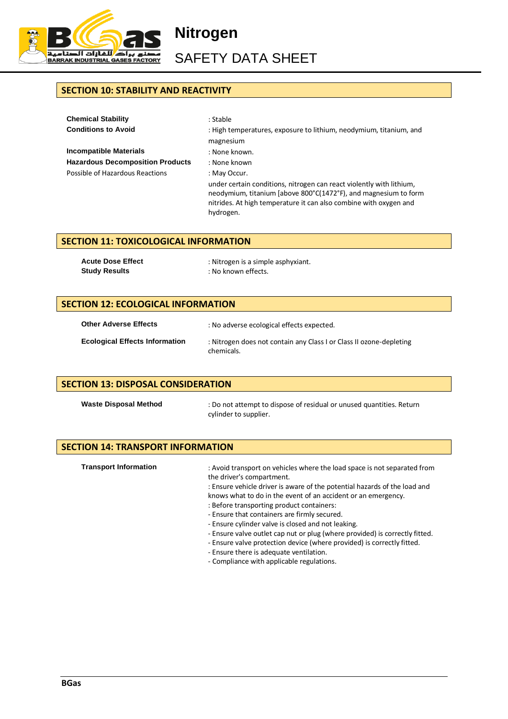

SAFETY DATA SHEET

# **SECTION 10: STABILITY AND REACTIVITY**

| <b>Chemical Stability</b>               | : Stable                                                                                                                                                                                                                  |
|-----------------------------------------|---------------------------------------------------------------------------------------------------------------------------------------------------------------------------------------------------------------------------|
| <b>Conditions to Avoid</b>              | : High temperatures, exposure to lithium, neodymium, titanium, and                                                                                                                                                        |
|                                         | magnesium                                                                                                                                                                                                                 |
| <b>Incompatible Materials</b>           | : None known.                                                                                                                                                                                                             |
| <b>Hazardous Decomposition Products</b> | : None known                                                                                                                                                                                                              |
| Possible of Hazardous Reactions         | : May Occur.                                                                                                                                                                                                              |
|                                         | under certain conditions, nitrogen can react violently with lithium,<br>neodymium, titanium [above 800°C(1472°F), and magnesium to form<br>nitrides. At high temperature it can also combine with oxygen and<br>hydrogen. |

### **SECTION 11: TOXICOLOGICAL INFORMATION**

| <b>Acute Dose Effect</b> | : Nitrogen is a simple asphyxiant. |
|--------------------------|------------------------------------|
| <b>Study Results</b>     | : No known effects.                |

### **SECTION 12: ECOLOGICAL INFORMATION**

| <b>Other Adverse Effects</b>          | : No adverse ecological effects expected.                                         |
|---------------------------------------|-----------------------------------------------------------------------------------|
| <b>Ecological Effects Information</b> | : Nitrogen does not contain any Class I or Class II ozone-depleting<br>chemicals. |

### **SECTION 13: DISPOSAL CONSIDERATION**

Waste Disposal Method : Do not attempt to dispose of residual or unused quantities. Return cylinder to supplier.

### **SECTION 14: TRANSPORT INFORMATION**

| <b>Transport Information</b> | : Avoid transport on vehicles where the load space is not separated from<br>the driver's compartment.      |
|------------------------------|------------------------------------------------------------------------------------------------------------|
|                              | : Ensure vehicle driver is aware of the potential hazards of the load and                                  |
|                              | knows what to do in the event of an accident or an emergency.<br>: Before transporting product containers: |
|                              | - Ensure that containers are firmly secured.                                                               |
|                              | - Ensure cylinder valve is closed and not leaking.                                                         |
|                              | - Ensure valve outlet cap nut or plug (where provided) is correctly fitted.                                |
|                              | - Ensure valve protection device (where provided) is correctly fitted.                                     |
|                              | - Ensure there is adequate ventilation.                                                                    |
|                              | - Compliance with applicable regulations.                                                                  |